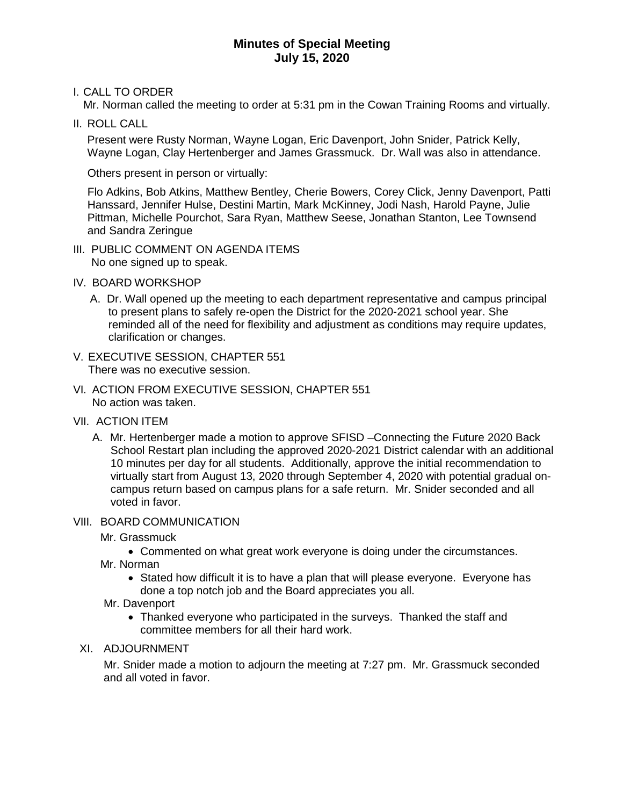## **Minutes of Special Meeting July 15, 2020**

I. CALL TO ORDER

Mr. Norman called the meeting to order at 5:31 pm in the Cowan Training Rooms and virtually.

II. ROLL CALL

Present were Rusty Norman, Wayne Logan, Eric Davenport, John Snider, Patrick Kelly, Wayne Logan, Clay Hertenberger and James Grassmuck. Dr. Wall was also in attendance.

Others present in person or virtually:

Flo Adkins, Bob Atkins, Matthew Bentley, Cherie Bowers, Corey Click, Jenny Davenport, Patti Hanssard, Jennifer Hulse, Destini Martin, Mark McKinney, Jodi Nash, Harold Payne, Julie Pittman, Michelle Pourchot, Sara Ryan, Matthew Seese, Jonathan Stanton, Lee Townsend and Sandra Zeringue

- III. PUBLIC COMMENT ON AGENDA ITEMS No one signed up to speak.
- IV. BOARD WORKSHOP
	- A. Dr. Wall opened up the meeting to each department representative and campus principal to present plans to safely re-open the District for the 2020-2021 school year. She reminded all of the need for flexibility and adjustment as conditions may require updates, clarification or changes.
- V. EXECUTIVE SESSION, CHAPTER 551 There was no executive session.
- VI. ACTION FROM EXECUTIVE SESSION, CHAPTER 551 No action was taken.
- VII. ACTION ITEM
	- A. Mr. Hertenberger made a motion to approve SFISD –Connecting the Future 2020 Back School Restart plan including the approved 2020-2021 District calendar with an additional 10 minutes per day for all students. Additionally, approve the initial recommendation to virtually start from August 13, 2020 through September 4, 2020 with potential gradual oncampus return based on campus plans for a safe return. Mr. Snider seconded and all voted in favor.

## VIII. BOARD COMMUNICATION

- Mr. Grassmuck
	- Commented on what great work everyone is doing under the circumstances.

Mr. Norman

- Stated how difficult it is to have a plan that will please everyone. Everyone has done a top notch job and the Board appreciates you all.
- Mr. Davenport
	- Thanked everyone who participated in the surveys. Thanked the staff and committee members for all their hard work.
- XI. ADJOURNMENT

Mr. Snider made a motion to adjourn the meeting at 7:27 pm. Mr. Grassmuck seconded and all voted in favor.